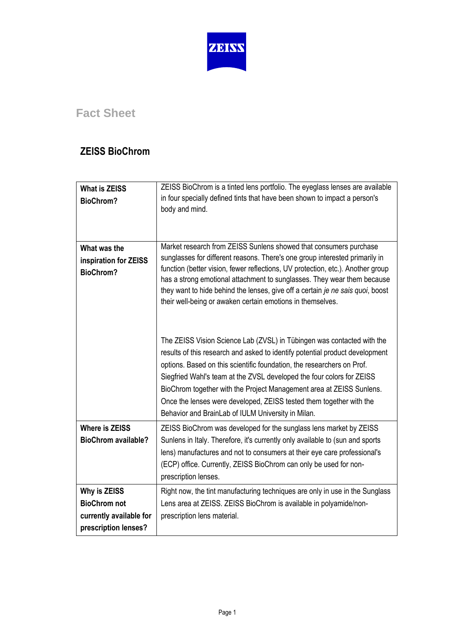

## **Fact Sheet**

## **ZEISS BioChrom**

| <b>What is ZEISS</b><br><b>BioChrom?</b>                                               | ZEISS BioChrom is a tinted lens portfolio. The eyeglass lenses are available<br>in four specially defined tints that have been shown to impact a person's<br>body and mind.                                                                                                                                                                                                                                                                                                                                    |
|----------------------------------------------------------------------------------------|----------------------------------------------------------------------------------------------------------------------------------------------------------------------------------------------------------------------------------------------------------------------------------------------------------------------------------------------------------------------------------------------------------------------------------------------------------------------------------------------------------------|
| What was the<br>inspiration for ZEISS<br><b>BioChrom?</b>                              | Market research from ZEISS Sunlens showed that consumers purchase<br>sunglasses for different reasons. There's one group interested primarily in<br>function (better vision, fewer reflections, UV protection, etc.). Another group<br>has a strong emotional attachment to sunglasses. They wear them because<br>they want to hide behind the lenses, give off a certain je ne sais quoi, boost<br>their well-being or awaken certain emotions in themselves.                                                 |
|                                                                                        | The ZEISS Vision Science Lab (ZVSL) in Tübingen was contacted with the<br>results of this research and asked to identify potential product development<br>options. Based on this scientific foundation, the researchers on Prof.<br>Siegfried Wahl's team at the ZVSL developed the four colors for ZEISS<br>BioChrom together with the Project Management area at ZEISS Sunlens.<br>Once the lenses were developed, ZEISS tested them together with the<br>Behavior and BrainLab of IULM University in Milan. |
| <b>Where is ZEISS</b><br><b>BioChrom available?</b>                                    | ZEISS BioChrom was developed for the sunglass lens market by ZEISS<br>Sunlens in Italy. Therefore, it's currently only available to (sun and sports<br>lens) manufactures and not to consumers at their eye care professional's<br>(ECP) office. Currently, ZEISS BioChrom can only be used for non-<br>prescription lenses.                                                                                                                                                                                   |
| Why is ZEISS<br><b>BioChrom not</b><br>currently available for<br>prescription lenses? | Right now, the tint manufacturing techniques are only in use in the Sunglass<br>Lens area at ZEISS. ZEISS BioChrom is available in polyamide/non-<br>prescription lens material.                                                                                                                                                                                                                                                                                                                               |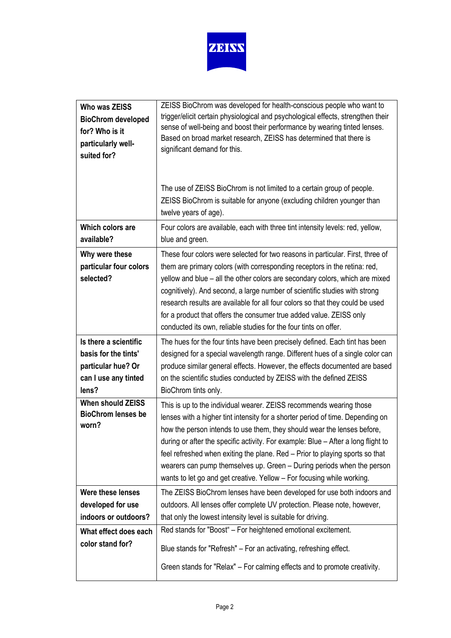

| Who was ZEISS                                                  | ZEISS BioChrom was developed for health-conscious people who want to                                                                                                                                                                                                                                                                                                                                                                                                                                                                                      |
|----------------------------------------------------------------|-----------------------------------------------------------------------------------------------------------------------------------------------------------------------------------------------------------------------------------------------------------------------------------------------------------------------------------------------------------------------------------------------------------------------------------------------------------------------------------------------------------------------------------------------------------|
| <b>BioChrom developed</b>                                      | trigger/elicit certain physiological and psychological effects, strengthen their                                                                                                                                                                                                                                                                                                                                                                                                                                                                          |
| for? Who is it                                                 | sense of well-being and boost their performance by wearing tinted lenses.                                                                                                                                                                                                                                                                                                                                                                                                                                                                                 |
| particularly well-                                             | Based on broad market research, ZEISS has determined that there is                                                                                                                                                                                                                                                                                                                                                                                                                                                                                        |
| suited for?                                                    | significant demand for this.                                                                                                                                                                                                                                                                                                                                                                                                                                                                                                                              |
|                                                                | The use of ZEISS BioChrom is not limited to a certain group of people.<br>ZEISS BioChrom is suitable for anyone (excluding children younger than<br>twelve years of age).                                                                                                                                                                                                                                                                                                                                                                                 |
| Which colors are                                               | Four colors are available, each with three tint intensity levels: red, yellow,                                                                                                                                                                                                                                                                                                                                                                                                                                                                            |
| available?                                                     | blue and green.                                                                                                                                                                                                                                                                                                                                                                                                                                                                                                                                           |
| Why were these<br>particular four colors<br>selected?          | These four colors were selected for two reasons in particular. First, three of<br>them are primary colors (with corresponding receptors in the retina: red,<br>yellow and blue - all the other colors are secondary colors, which are mixed<br>cognitively). And second, a large number of scientific studies with strong<br>research results are available for all four colors so that they could be used<br>for a product that offers the consumer true added value. ZEISS only<br>conducted its own, reliable studies for the four tints on offer.     |
| Is there a scientific                                          | The hues for the four tints have been precisely defined. Each tint has been                                                                                                                                                                                                                                                                                                                                                                                                                                                                               |
| basis for the tints'                                           | designed for a special wavelength range. Different hues of a single color can                                                                                                                                                                                                                                                                                                                                                                                                                                                                             |
| particular hue? Or                                             | produce similar general effects. However, the effects documented are based                                                                                                                                                                                                                                                                                                                                                                                                                                                                                |
| can I use any tinted                                           | on the scientific studies conducted by ZEISS with the defined ZEISS                                                                                                                                                                                                                                                                                                                                                                                                                                                                                       |
| lens?                                                          | BioChrom tints only.                                                                                                                                                                                                                                                                                                                                                                                                                                                                                                                                      |
| <b>When should ZEISS</b><br><b>BioChrom lenses be</b><br>worn? | This is up to the individual wearer. ZEISS recommends wearing those<br>lenses with a higher tint intensity for a shorter period of time. Depending on<br>how the person intends to use them, they should wear the lenses before,<br>during or after the specific activity. For example: Blue - After a long flight to<br>feel refreshed when exiting the plane. Red – Prior to playing sports so that<br>wearers can pump themselves up. Green - During periods when the person<br>wants to let go and get creative. Yellow - For focusing while working. |
| Were these lenses                                              | The ZEISS BioChrom lenses have been developed for use both indoors and                                                                                                                                                                                                                                                                                                                                                                                                                                                                                    |
| developed for use                                              | outdoors. All lenses offer complete UV protection. Please note, however,                                                                                                                                                                                                                                                                                                                                                                                                                                                                                  |
| indoors or outdoors?                                           | that only the lowest intensity level is suitable for driving.                                                                                                                                                                                                                                                                                                                                                                                                                                                                                             |
| What effect does each                                          | Red stands for "Boost" - For heightened emotional excitement.                                                                                                                                                                                                                                                                                                                                                                                                                                                                                             |
| color stand for?                                               | Blue stands for "Refresh" – For an activating, refreshing effect.                                                                                                                                                                                                                                                                                                                                                                                                                                                                                         |
|                                                                | Green stands for "Relax" - For calming effects and to promote creativity.                                                                                                                                                                                                                                                                                                                                                                                                                                                                                 |